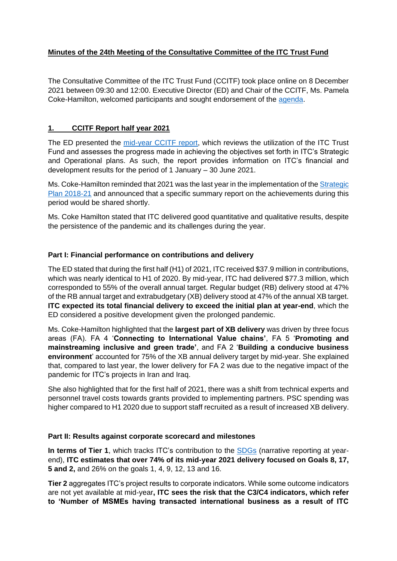# **Minutes of the 24th Meeting of the Consultative Committee of the ITC Trust Fund**

The Consultative Committee of the ITC Trust Fund (CCITF) took place online on 8 December 2021 between 09:30 and 12:00. Executive Director (ED) and Chair of the CCITF, Ms. Pamela Coke-Hamilton, welcomed participants and sought endorsement of the [agenda.](https://www.intracen.org/uploadedFiles/intracenorg/Content/About_ITC/Working_with_ITC/JAG/Consultative_committee_of_the_ITC_trust_fund/Agenda_CCITF%2024%20June%202021.pdf)

### **1. CCITF Report half year 2021**

The ED presented the [mid-year CCITF report,](https://www.intracen.org/uploadedFiles/intracenorg/Content/About_ITC/Working_with_ITC/JAG/Consultative_committee_of_the_ITC_trust_fund/CCITF%20Report%20Jan%20June%202021_final_rev2.pdf) which reviews the utilization of the ITC Trust Fund and assesses the progress made in achieving the objectives set forth in ITC's Strategic and Operational plans. As such, the report provides information on ITC's financial and development results for the period of 1 January – 30 June 2021.

Ms. Coke-Hamilton reminded that 2021 was the last year in the implementation of the [Strategic](https://www.intracen.org/uploadedFiles/intracenorg/Content/About_ITC/Corporate_Documents/Strategic_Plan/Strategic%20plan%202018-21-web.pdf)  [Plan 2018-21](https://www.intracen.org/uploadedFiles/intracenorg/Content/About_ITC/Corporate_Documents/Strategic_Plan/Strategic%20plan%202018-21-web.pdf) and announced that a specific summary report on the achievements during this period would be shared shortly.

Ms. Coke Hamilton stated that ITC delivered good quantitative and qualitative results, despite the persistence of the pandemic and its challenges during the year.

#### **Part I: Financial performance on contributions and delivery**

The ED stated that during the first half (H1) of 2021, ITC received \$37.9 million in contributions, which was nearly identical to H1 of 2020. By mid-year, ITC had delivered \$77.3 million, which corresponded to 55% of the overall annual target. Regular budget (RB) delivery stood at 47% of the RB annual target and extrabudgetary (XB) delivery stood at 47% of the annual XB target. **ITC expected its total financial delivery to exceed the initial plan at year-end**, which the ED considered a positive development given the prolonged pandemic.

Ms. Coke-Hamilton highlighted that the **largest part of XB delivery** was driven by three focus areas (FA). FA 4 '**Connecting to International Value chains'**, FA 5 '**Promoting and mainstreaming inclusive and green trade'**, and FA 2 '**Building a conducive business environment**' accounted for 75% of the XB annual delivery target by mid-year. She explained that, compared to last year, the lower delivery for FA 2 was due to the negative impact of the pandemic for ITC's projects in Iran and Iraq.

She also highlighted that for the first half of 2021, there was a shift from technical experts and personnel travel costs towards grants provided to implementing partners. PSC spending was higher compared to H1 2020 due to support staff recruited as a result of increased XB delivery.

#### **Part II: Results against corporate scorecard and milestones**

**In terms of Tier 1**, which tracks ITC's contribution to the [SDGs](https://www.intracen.org/itc/goals/Global-Goals-for-Sustainable-Development/) (narrative reporting at yearend), **ITC estimates that over 74% of its mid-year 2021 delivery focused on Goals 8, 17, 5 and 2,** and 26% on the goals 1, 4, 9, 12, 13 and 16.

**Tier 2** aggregates ITC's project results to corporate indicators. While some outcome indicators are not yet available at mid-year**, ITC sees the risk that the C3/C4 indicators, which refer to 'Number of MSMEs having transacted international business as a result of ITC**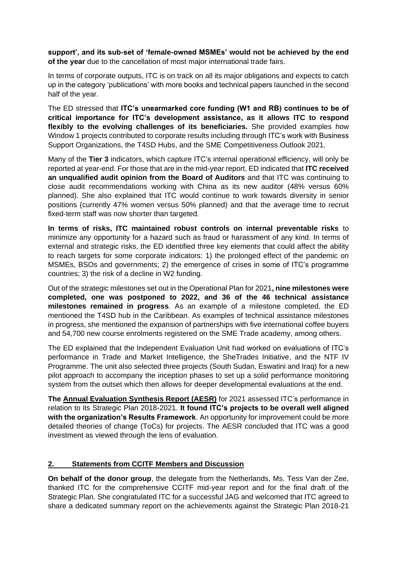**support', and its sub-set of 'female-owned MSMEs' would not be achieved by the end of the year** due to the cancellation of most major international trade fairs.

In terms of corporate outputs, ITC is on track on all its major obligations and expects to catch up in the category 'publications' with more books and technical papers launched in the second half of the year.

The ED stressed that **ITC's unearmarked core funding (W1 and RB) continues to be of critical importance for ITC's development assistance, as it allows ITC to respond flexibly to the evolving challenges of its beneficiaries.** She provided examples how Window 1 projects contributed to corporate results including through ITC's work with Business Support Organizations, the T4SD Hubs, and the SME Competitiveness Outlook 2021.

Many of the **Tier 3** indicators, which capture ITC's internal operational efficiency, will only be reported at year-end. For those that are in the mid-year report, ED indicated that **ITC received an unqualified audit opinion from the Board of Auditors** and that ITC was continuing to close audit recommendations working with China as its new auditor (48% versus 60% planned). She also explained that ITC would continue to work towards diversity in senior positions (currently 47% women versus 50% planned) and that the average time to recruit fixed-term staff was now shorter than targeted.

**In terms of risks, ITC maintained robust controls on internal preventable risks** to minimize any opportunity for a hazard such as fraud or harassment of any kind. In terms of external and strategic risks, the ED identified three key elements that could affect the ability to reach targets for some corporate indicators: 1) the prolonged effect of the pandemic on MSMEs, BSOs and governments; 2) the emergence of crises in some of ITC's programme countries; 3) the risk of a decline in W2 funding.

Out of the strategic milestones set out in the Operational Plan for 2021**, nine milestones were completed, one was postponed to 2022, and 36 of the 46 technical assistance milestones remained in progress**. As an example of a milestone completed, the ED mentioned the T4SD hub in the Caribbean. As examples of technical assistance milestones in progress, she mentioned the expansion of partnerships with five international coffee buyers and 54,700 new course enrolments registered on the SME Trade academy, among others.

The ED explained that the Independent Evaluation Unit had worked on evaluations of ITC's performance in Trade and Market Intelligence, the SheTrades Initiative, and the NTF IV Programme. The unit also selected three projects (South Sudan, Eswatini and Iraq) for a new pilot approach to accompany the inception phases to set up a solid performance monitoring system from the outset which then allows for deeper developmental evaluations at the end.

**The [Annual Evaluation Synthesis Report \(AESR\)](https://www.intracen.org/uploadedFiles/intracenorg/Content/About_ITC/Working_with_ITC/JAG/Redesign/2021%20Annual%20Evaluation%20Synthesis%20Report.pdf)** for 2021 assessed ITC's performance in relation to its Strategic Plan 2018-2021. **It found ITC's projects to be overall well aligned with the organization's Results Framework**. An opportunity for improvement could be more detailed theories of change (ToCs) for projects. The AESR concluded that ITC was a good investment as viewed through the lens of evaluation.

# **2. Statements from CCITF Members and Discussion**

**On behalf of the donor group**, the delegate from the Netherlands, Ms. Tess Van der Zee, thanked ITC for the comprehensive CCITF mid-year report and for the final draft of the Strategic Plan. She congratulated ITC for a successful JAG and welcomed that ITC agreed to share a dedicated summary report on the achievements against the Strategic Plan 2018-21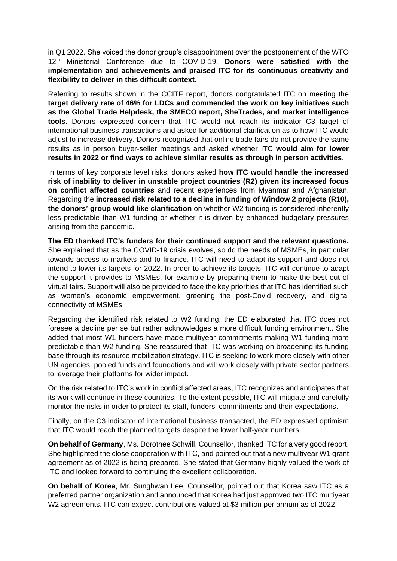in Q1 2022. She voiced the donor group's disappointment over the postponement of the WTO 12th Ministerial Conference due to COVID-19. **Donors were satisfied with the implementation and achievements and praised ITC for its continuous creativity and flexibility to deliver in this difficult context**.

Referring to results shown in the CCITF report, donors congratulated ITC on meeting the **target delivery rate of 46% for LDCs and commended the work on key initiatives such as the Global Trade Helpdesk, the SMECO report, SheTrades, and market intelligence tools.** Donors expressed concern that ITC would not reach its indicator C3 target of international business transactions and asked for additional clarification as to how ITC would adjust to increase delivery. Donors recognized that online trade fairs do not provide the same results as in person buyer-seller meetings and asked whether ITC **would aim for lower results in 2022 or find ways to achieve similar results as through in person activities**.

In terms of key corporate level risks, donors asked **how ITC would handle the increased risk of inability to deliver in unstable project countries (R2) given its increased focus on conflict affected countries** and recent experiences from Myanmar and Afghanistan. Regarding the **increased risk related to a decline in funding of Window 2 projects (R10), the donors' group would like clarification** on whether W2 funding is considered inherently less predictable than W1 funding or whether it is driven by enhanced budgetary pressures arising from the pandemic.

**The ED thanked ITC's funders for their continued support and the relevant questions.** She explained that as the COVID-19 crisis evolves, so do the needs of MSMEs, in particular towards access to markets and to finance. ITC will need to adapt its support and does not intend to lower its targets for 2022. In order to achieve its targets, ITC will continue to adapt the support it provides to MSMEs, for example by preparing them to make the best out of virtual fairs. Support will also be provided to face the key priorities that ITC has identified such as women's economic empowerment, greening the post-Covid recovery, and digital connectivity of MSMEs.

Regarding the identified risk related to W2 funding, the ED elaborated that ITC does not foresee a decline per se but rather acknowledges a more difficult funding environment. She added that most W1 funders have made multiyear commitments making W1 funding more predictable than W2 funding. She reassured that ITC was working on broadening its funding base through its resource mobilization strategy. ITC is seeking to work more closely with other UN agencies, pooled funds and foundations and will work closely with private sector partners to leverage their platforms for wider impact.

On the risk related to ITC's work in conflict affected areas, ITC recognizes and anticipates that its work will continue in these countries. To the extent possible, ITC will mitigate and carefully monitor the risks in order to protect its staff, funders' commitments and their expectations.

Finally, on the C3 indicator of international business transacted, the ED expressed optimism that ITC would reach the planned targets despite the lower half-year numbers.

**On behalf of Germany**, Ms. Dorothee Schwill, Counsellor, thanked ITC for a very good report. She highlighted the close cooperation with ITC, and pointed out that a new multiyear W1 grant agreement as of 2022 is being prepared. She stated that Germany highly valued the work of ITC and looked forward to continuing the excellent collaboration.

**On behalf of Korea**, Mr. Sunghwan Lee, Counsellor, pointed out that Korea saw ITC as a preferred partner organization and announced that Korea had just approved two ITC multiyear W2 agreements. ITC can expect contributions valued at \$3 million per annum as of 2022.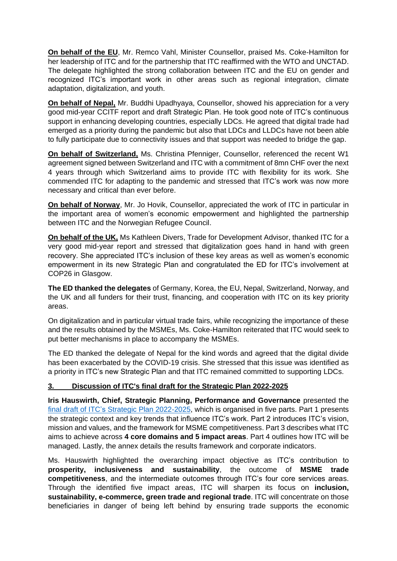**On behalf of the EU**, Mr. Remco Vahl, Minister Counsellor, praised Ms. Coke-Hamilton for her leadership of ITC and for the partnership that ITC reaffirmed with the WTO and UNCTAD. The delegate highlighted the strong collaboration between ITC and the EU on gender and recognized ITC's important work in other areas such as regional integration, climate adaptation, digitalization, and youth.

**On behalf of Nepal,** Mr. Buddhi Upadhyaya, Counsellor, showed his appreciation for a very good mid-year CCITF report and draft Strategic Plan. He took good note of ITC's continuous support in enhancing developing countries, especially LDCs. He agreed that digital trade had emerged as a priority during the pandemic but also that LDCs and LLDCs have not been able to fully participate due to connectivity issues and that support was needed to bridge the gap.

**On behalf of Switzerland,** Ms. Christina Pfenniger, Counsellor, referenced the recent W1 agreement signed between Switzerland and ITC with a commitment of 8mn CHF over the next 4 years through which Switzerland aims to provide ITC with flexibility for its work. She commended ITC for adapting to the pandemic and stressed that ITC's work was now more necessary and critical than ever before.

**On behalf of Norway**, Mr. Jo Hovik, Counsellor, appreciated the work of ITC in particular in the important area of women's economic empowerment and highlighted the partnership between ITC and the Norwegian Refugee Council.

**On behalf of the UK,** Ms Kathleen Divers, Trade for Development Advisor, thanked ITC for a very good mid-year report and stressed that digitalization goes hand in hand with green recovery. She appreciated ITC's inclusion of these key areas as well as women's economic empowerment in its new Strategic Plan and congratulated the ED for ITC's involvement at COP26 in Glasgow.

**The ED thanked the delegates** of Germany, Korea, the EU, Nepal, Switzerland, Norway, and the UK and all funders for their trust, financing, and cooperation with ITC on its key priority areas.

On digitalization and in particular virtual trade fairs, while recognizing the importance of these and the results obtained by the MSMEs, Ms. Coke-Hamilton reiterated that ITC would seek to put better mechanisms in place to accompany the MSMEs.

The ED thanked the delegate of Nepal for the kind words and agreed that the digital divide has been exacerbated by the COVID-19 crisis. She stressed that this issue was identified as a priority in ITC's new Strategic Plan and that ITC remained committed to supporting LDCs.

# **3. Discussion of ITC's final draft for the Strategic Plan 2022-2025**

**Iris Hauswirth, Chief, Strategic Planning, Performance and Governance** presented the final draft of ITC's [Strategic Plan 2022-2025,](https://www.intracen.org/uploadedFiles/intracenorg/Content/About_ITC/Corporate_Documents/Strategic_Plan/Strategic%20plan%202022_2025.pdf) which is organised in five parts. Part 1 presents the strategic context and key trends that influence ITC's work. Part 2 introduces ITC's vision, mission and values, and the framework for MSME competitiveness. Part 3 describes what ITC aims to achieve across **4 core domains and 5 impact areas**. Part 4 outlines how ITC will be managed. Lastly, the annex details the results framework and corporate indicators.

Ms. Hauswirth highlighted the overarching impact objective as ITC's contribution to **prosperity, inclusiveness and sustainability**, the outcome of **MSME trade competitiveness**, and the intermediate outcomes through ITC's four core services areas. Through the identified five impact areas, ITC will sharpen its focus on **inclusion, sustainability, e-commerce, green trade and regional trade**. ITC will concentrate on those beneficiaries in danger of being left behind by ensuring trade supports the economic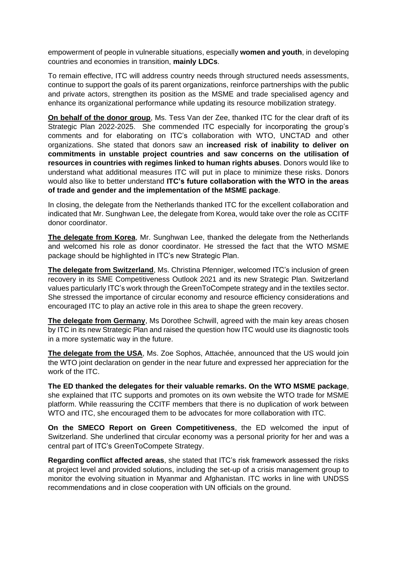empowerment of people in vulnerable situations, especially **women and youth**, in developing countries and economies in transition, **mainly LDCs**.

To remain effective, ITC will address country needs through structured needs assessments, continue to support the goals of its parent organizations, reinforce partnerships with the public and private actors, strengthen its position as the MSME and trade specialised agency and enhance its organizational performance while updating its resource mobilization strategy.

**On behalf of the donor group**, Ms. Tess Van der Zee, thanked ITC for the clear draft of its Strategic Plan 2022-2025. She commended ITC especially for incorporating the group's comments and for elaborating on ITC's collaboration with WTO, UNCTAD and other organizations. She stated that donors saw an **increased risk of inability to deliver on commitments in unstable project countries and saw concerns on the utilisation of resources in countries with regimes linked to human rights abuses**. Donors would like to understand what additional measures ITC will put in place to minimize these risks. Donors would also like to better understand **ITC's future collaboration with the WTO in the areas of trade and gender and the implementation of the MSME package**.

In closing, the delegate from the Netherlands thanked ITC for the excellent collaboration and indicated that Mr. Sunghwan Lee, the delegate from Korea, would take over the role as CCITF donor coordinator.

**The delegate from Korea**, Mr. Sunghwan Lee, thanked the delegate from the Netherlands and welcomed his role as donor coordinator. He stressed the fact that the WTO MSME package should be highlighted in ITC's new Strategic Plan.

**The delegate from Switzerland**, Ms. Christina Pfenniger, welcomed ITC's inclusion of green recovery in its SME Competitiveness Outlook 2021 and its new Strategic Plan. Switzerland values particularly ITC's work through the GreenToCompete strategy and in the textiles sector. She stressed the importance of circular economy and resource efficiency considerations and encouraged ITC to play an active role in this area to shape the green recovery.

**The delegate from Germany**, Ms Dorothee Schwill, agreed with the main key areas chosen by ITC in its new Strategic Plan and raised the question how ITC would use its diagnostic tools in a more systematic way in the future.

**The delegate from the USA**, Ms. Zoe Sophos, Attachée, announced that the US would join the WTO joint declaration on gender in the near future and expressed her appreciation for the work of the ITC.

**The ED thanked the delegates for their valuable remarks. On the WTO MSME package**, she explained that ITC supports and promotes on its own website the WTO trade for MSME platform. While reassuring the CCITF members that there is no duplication of work between WTO and ITC, she encouraged them to be advocates for more collaboration with ITC.

**On the SMECO Report on Green Competitiveness**, the ED welcomed the input of Switzerland. She underlined that circular economy was a personal priority for her and was a central part of ITC's GreenToCompete Strategy.

**Regarding conflict affected areas**, she stated that ITC's risk framework assessed the risks at project level and provided solutions, including the set-up of a crisis management group to monitor the evolving situation in Myanmar and Afghanistan. ITC works in line with UNDSS recommendations and in close cooperation with UN officials on the ground.